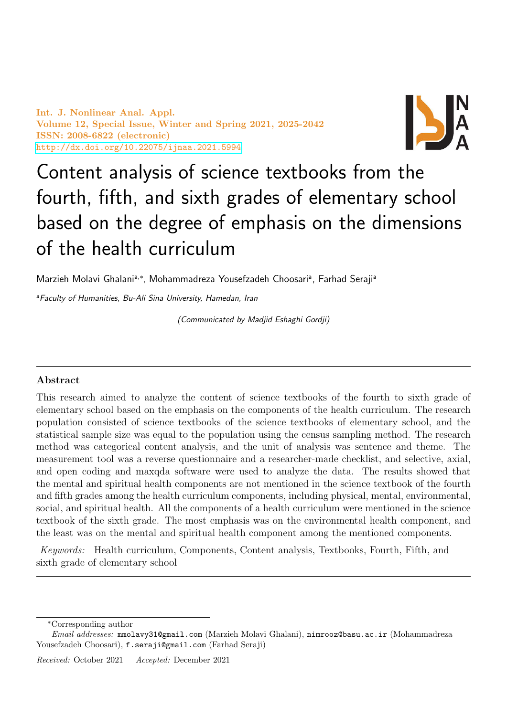Int. J. Nonlinear Anal. Appl. Volume 12, Special Issue, Winter and Spring 2021, 2025-2042 ISSN: 2008-6822 (electronic) <http://dx.doi.org/10.22075/ijnaa.2021.5994>



# Content analysis of science textbooks from the fourth, fifth, and sixth grades of elementary school based on the degree of emphasis on the dimensions of the health curriculum

Marzieh Molavi Ghalani<sup>a,\*</sup>, Mohammadreza Yousefzadeh Choosari<sup>a</sup>, Farhad Seraji<sup>a</sup>

<sup>a</sup>Faculty of Humanities, Bu-Ali Sina University, Hamedan, Iran

(Communicated by Madjid Eshaghi Gordji)

## Abstract

This research aimed to analyze the content of science textbooks of the fourth to sixth grade of elementary school based on the emphasis on the components of the health curriculum. The research population consisted of science textbooks of the science textbooks of elementary school, and the statistical sample size was equal to the population using the census sampling method. The research method was categorical content analysis, and the unit of analysis was sentence and theme. The measurement tool was a reverse questionnaire and a researcher-made checklist, and selective, axial, and open coding and maxqda software were used to analyze the data. The results showed that the mental and spiritual health components are not mentioned in the science textbook of the fourth and fifth grades among the health curriculum components, including physical, mental, environmental, social, and spiritual health. All the components of a health curriculum were mentioned in the science textbook of the sixth grade. The most emphasis was on the environmental health component, and the least was on the mental and spiritual health component among the mentioned components.

Keywords: Health curriculum, Components, Content analysis, Textbooks, Fourth, Fifth, and sixth grade of elementary school

<sup>∗</sup>Corresponding author

Email addresses: mmolavy31@gmail.com (Marzieh Molavi Ghalani), nimrooz@basu.ac.ir (Mohammadreza Yousefzadeh Choosari), f.seraji@gmail.com (Farhad Seraji)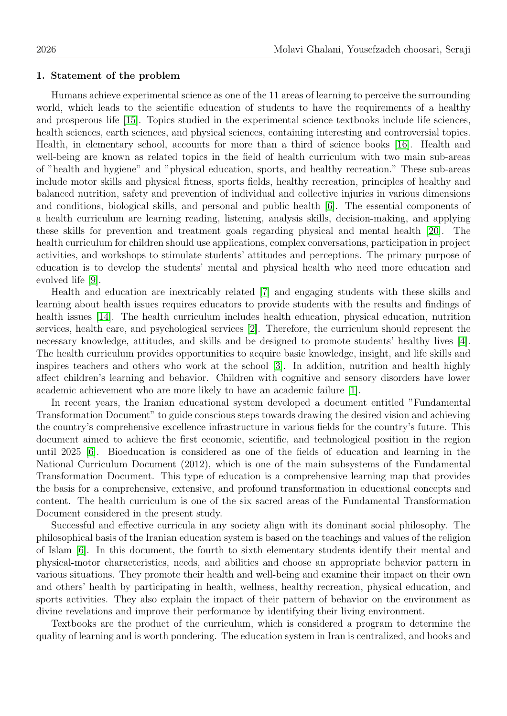#### 1. Statement of the problem

Humans achieve experimental science as one of the 11 areas of learning to perceive the surrounding world, which leads to the scientific education of students to have the requirements of a healthy and prosperous life [\[15\]](#page-17-0). Topics studied in the experimental science textbooks include life sciences, health sciences, earth sciences, and physical sciences, containing interesting and controversial topics. Health, in elementary school, accounts for more than a third of science books [\[16\]](#page-17-1). Health and well-being are known as related topics in the field of health curriculum with two main sub-areas of "health and hygiene" and "physical education, sports, and healthy recreation." These sub-areas include motor skills and physical fitness, sports fields, healthy recreation, principles of healthy and balanced nutrition, safety and prevention of individual and collective injuries in various dimensions and conditions, biological skills, and personal and public health [\[6\]](#page-16-0). The essential components of a health curriculum are learning reading, listening, analysis skills, decision-making, and applying these skills for prevention and treatment goals regarding physical and mental health [\[20\]](#page-17-2). The health curriculum for children should use applications, complex conversations, participation in project activities, and workshops to stimulate students' attitudes and perceptions. The primary purpose of education is to develop the students' mental and physical health who need more education and evolved life [\[9\]](#page-16-1).

Health and education are inextricably related [\[7\]](#page-16-2) and engaging students with these skills and learning about health issues requires educators to provide students with the results and findings of health issues [\[14\]](#page-17-3). The health curriculum includes health education, physical education, nutrition services, health care, and psychological services [\[2\]](#page-16-3). Therefore, the curriculum should represent the necessary knowledge, attitudes, and skills and be designed to promote students' healthy lives [\[4\]](#page-16-4). The health curriculum provides opportunities to acquire basic knowledge, insight, and life skills and inspires teachers and others who work at the school [\[3\]](#page-16-5). In addition, nutrition and health highly affect children's learning and behavior. Children with cognitive and sensory disorders have lower academic achievement who are more likely to have an academic failure [\[1\]](#page-16-6).

In recent years, the Iranian educational system developed a document entitled "Fundamental Transformation Document" to guide conscious steps towards drawing the desired vision and achieving the country's comprehensive excellence infrastructure in various fields for the country's future. This document aimed to achieve the first economic, scientific, and technological position in the region until 2025 [\[6\]](#page-16-0). Bioeducation is considered as one of the fields of education and learning in the National Curriculum Document (2012), which is one of the main subsystems of the Fundamental Transformation Document. This type of education is a comprehensive learning map that provides the basis for a comprehensive, extensive, and profound transformation in educational concepts and content. The health curriculum is one of the six sacred areas of the Fundamental Transformation Document considered in the present study.

Successful and effective curricula in any society align with its dominant social philosophy. The philosophical basis of the Iranian education system is based on the teachings and values of the religion of Islam [\[6\]](#page-16-0). In this document, the fourth to sixth elementary students identify their mental and physical-motor characteristics, needs, and abilities and choose an appropriate behavior pattern in various situations. They promote their health and well-being and examine their impact on their own and others' health by participating in health, wellness, healthy recreation, physical education, and sports activities. They also explain the impact of their pattern of behavior on the environment as divine revelations and improve their performance by identifying their living environment.

Textbooks are the product of the curriculum, which is considered a program to determine the quality of learning and is worth pondering. The education system in Iran is centralized, and books and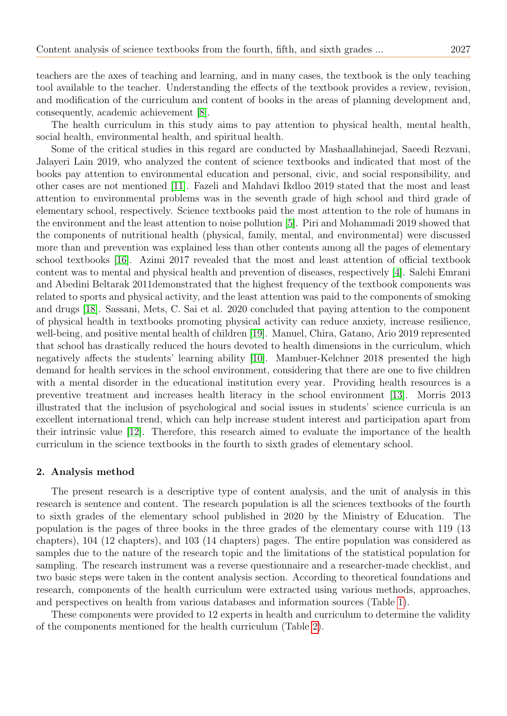teachers are the axes of teaching and learning, and in many cases, the textbook is the only teaching tool available to the teacher. Understanding the effects of the textbook provides a review, revision, and modification of the curriculum and content of books in the areas of planning development and, consequently, academic achievement [\[8\]](#page-16-7).

The health curriculum in this study aims to pay attention to physical health, mental health, social health, environmental health, and spiritual health.

Some of the critical studies in this regard are conducted by Mashaallahinejad, Saeedi Rezvani, Jalayeri Lain 2019, who analyzed the content of science textbooks and indicated that most of the books pay attention to environmental education and personal, civic, and social responsibility, and other cases are not mentioned [\[11\]](#page-16-8). Fazeli and Mahdavi Ikdloo 2019 stated that the most and least attention to environmental problems was in the seventh grade of high school and third grade of elementary school, respectively. Science textbooks paid the most attention to the role of humans in the environment and the least attention to noise pollution [\[5\]](#page-16-9). Piri and Mohammadi 2019 showed that the components of nutritional health (physical, family, mental, and environmental) were discussed more than and prevention was explained less than other contents among all the pages of elementary school textbooks [\[16\]](#page-17-1). Azimi 2017 revealed that the most and least attention of official textbook content was to mental and physical health and prevention of diseases, respectively [\[4\]](#page-16-4). Salehi Emrani and Abedini Beltarak 2011demonstrated that the highest frequency of the textbook components was related to sports and physical activity, and the least attention was paid to the components of smoking and drugs [\[18\]](#page-17-4). Sassani, Mets, C. Sai et al. 2020 concluded that paying attention to the component of physical health in textbooks promoting physical activity can reduce anxiety, increase resilience, well-being, and positive mental health of children [\[19\]](#page-17-5). Manuel, Chira, Gatano, Ario 2019 represented that school has drastically reduced the hours devoted to health dimensions in the curriculum, which negatively affects the students' learning ability [\[10\]](#page-16-10). Mambuer-Kelchner 2018 presented the high demand for health services in the school environment, considering that there are one to five children with a mental disorder in the educational institution every year. Providing health resources is a preventive treatment and increases health literacy in the school environment [\[13\]](#page-17-6). Morris 2013 illustrated that the inclusion of psychological and social issues in students' science curricula is an excellent international trend, which can help increase student interest and participation apart from their intrinsic value [\[12\]](#page-17-7). Therefore, this research aimed to evaluate the importance of the health curriculum in the science textbooks in the fourth to sixth grades of elementary school.

#### 2. Analysis method

The present research is a descriptive type of content analysis, and the unit of analysis in this research is sentence and content. The research population is all the sciences textbooks of the fourth to sixth grades of the elementary school published in 2020 by the Ministry of Education. The population is the pages of three books in the three grades of the elementary course with 119 (13 chapters), 104 (12 chapters), and 103 (14 chapters) pages. The entire population was considered as samples due to the nature of the research topic and the limitations of the statistical population for sampling. The research instrument was a reverse questionnaire and a researcher-made checklist, and two basic steps were taken in the content analysis section. According to theoretical foundations and research, components of the health curriculum were extracted using various methods, approaches, and perspectives on health from various databases and information sources (Table [1\)](#page-3-0).

These components were provided to 12 experts in health and curriculum to determine the validity of the components mentioned for the health curriculum (Table [2\)](#page-3-1).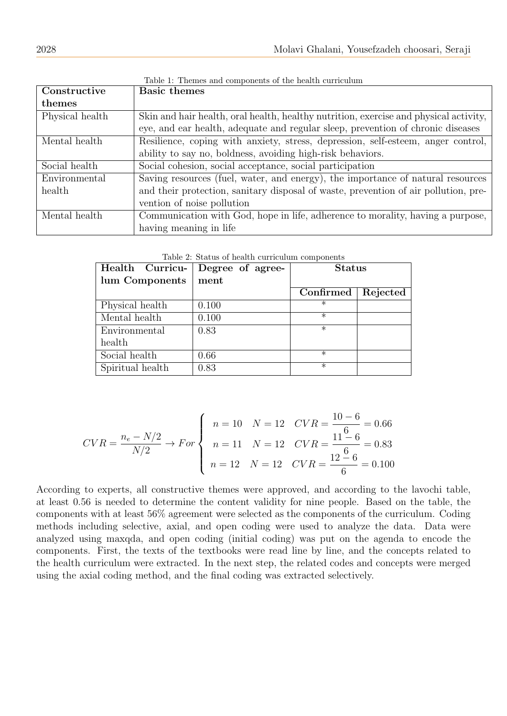<span id="page-3-0"></span>

| Constructive    | <b>Basic themes</b>                                                                   |
|-----------------|---------------------------------------------------------------------------------------|
| themes          |                                                                                       |
| Physical health | Skin and hair health, oral health, healthy nutrition, exercise and physical activity, |
|                 | eye, and ear health, adequate and regular sleep, prevention of chronic diseases       |
| Mental health   | Resilience, coping with anxiety, stress, depression, self-esteem, anger control,      |
|                 | ability to say no, boldness, avoiding high-risk behaviors.                            |
| Social health   | Social cohesion, social acceptance, social participation                              |
| Environmental   | Saving resources (fuel, water, and energy), the importance of natural resources       |
| health          | and their protection, sanitary disposal of waste, prevention of air pollution, pre-   |
|                 | vention of noise pollution                                                            |
| Mental health   | Communication with God, hope in life, adherence to morality, having a purpose,        |
|                 | having meaning in life                                                                |

Table 1: Themes and components of the health curriculum

<span id="page-3-1"></span>

| Health Curricu-  | Degree of agree- | <b>Status</b> |          |
|------------------|------------------|---------------|----------|
| lum Components   | ment             |               |          |
|                  |                  | Confirmed     | Rejected |
| Physical health  | 0.100            | $\ast$        |          |
| Mental health    | 0.100            | $^\ast$       |          |
| Environmental    | 0.83             | $\ast$        |          |
| health           |                  |               |          |
| Social health    | 0.66             | $\ast$        |          |
| Spiritual health | 0.83             | $\ast$        |          |

Table 2: Status of health curriculum components

$$
CVR = \frac{n_e - N/2}{N/2} \rightarrow For \begin{cases} n = 10 & N = 12 & CVR = \frac{10 - 6}{16} = 0.66 \\ n = 11 & N = 12 & CVR = \frac{11 - 6}{6} = 0.83 \\ n = 12 & N = 12 & CVR = \frac{12 - 6}{6} = 0.100 \end{cases}
$$

According to experts, all constructive themes were approved, and according to the lavochi table, at least 0.56 is needed to determine the content validity for nine people. Based on the table, the components with at least 56% agreement were selected as the components of the curriculum. Coding methods including selective, axial, and open coding were used to analyze the data. Data were analyzed using maxqda, and open coding (initial coding) was put on the agenda to encode the components. First, the texts of the textbooks were read line by line, and the concepts related to the health curriculum were extracted. In the next step, the related codes and concepts were merged using the axial coding method, and the final coding was extracted selectively.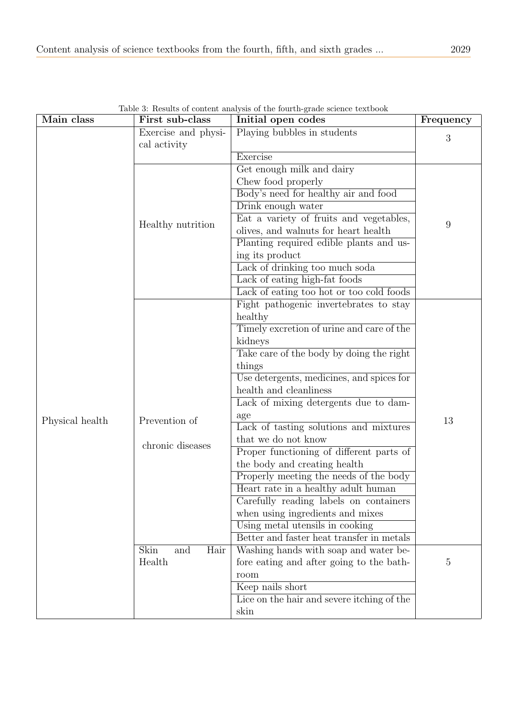<span id="page-4-0"></span>

| Main class      | First sub-class                     | resultes of content analysis of the fourth grade serence tention<br>Initial open codes | Frequency      |
|-----------------|-------------------------------------|----------------------------------------------------------------------------------------|----------------|
|                 | Exercise and physi-<br>cal activity | Playing bubbles in students                                                            | 3              |
|                 |                                     | Exercise                                                                               |                |
|                 |                                     | Get enough milk and dairy                                                              |                |
|                 |                                     | Chew food properly                                                                     |                |
|                 |                                     | Body's need for healthy air and food                                                   |                |
|                 |                                     | Drink enough water                                                                     |                |
|                 |                                     | Eat a variety of fruits and vegetables,                                                | 9              |
|                 | Healthy nutrition                   | olives, and walnuts for heart health                                                   |                |
|                 |                                     | Planting required edible plants and us-                                                |                |
|                 |                                     | ing its product                                                                        |                |
|                 |                                     | Lack of drinking too much soda                                                         |                |
|                 |                                     | Lack of eating high-fat foods                                                          |                |
|                 |                                     | Lack of eating too hot or too cold foods                                               |                |
|                 |                                     | Fight pathogenic invertebrates to stay                                                 |                |
|                 |                                     | healthy                                                                                |                |
|                 |                                     | Timely excretion of urine and care of the                                              |                |
|                 |                                     | kidneys                                                                                |                |
|                 |                                     | Take care of the body by doing the right                                               |                |
|                 |                                     | things                                                                                 |                |
|                 |                                     | Use detergents, medicines, and spices for                                              |                |
|                 |                                     | health and cleanliness                                                                 |                |
|                 |                                     | Lack of mixing detergents due to dam-                                                  |                |
| Physical health | Prevention of                       | age                                                                                    | 13             |
|                 |                                     | Lack of tasting solutions and mixtures                                                 |                |
|                 | chronic diseases                    | that we do not know                                                                    |                |
|                 |                                     | Proper functioning of different parts of                                               |                |
|                 |                                     | the body and creating health                                                           |                |
|                 |                                     | Properly meeting the needs of the body                                                 |                |
|                 |                                     | Heart rate in a healthy adult human                                                    |                |
|                 |                                     | Carefully reading labels on containers                                                 |                |
|                 |                                     | when using ingredients and mixes                                                       |                |
|                 |                                     | Using metal utensils in cooking                                                        |                |
|                 |                                     | Better and faster heat transfer in metals                                              |                |
|                 | Skin<br>Hair<br>and                 | Washing hands with soap and water be-                                                  |                |
|                 | Health                              | fore eating and after going to the bath-                                               | $\overline{5}$ |
|                 |                                     | room                                                                                   |                |
|                 |                                     | Keep nails short                                                                       |                |
|                 |                                     | Lice on the hair and severe itching of the                                             |                |
|                 |                                     | skin                                                                                   |                |

Table 3: Results of content analysis of the fourth-grade science textbook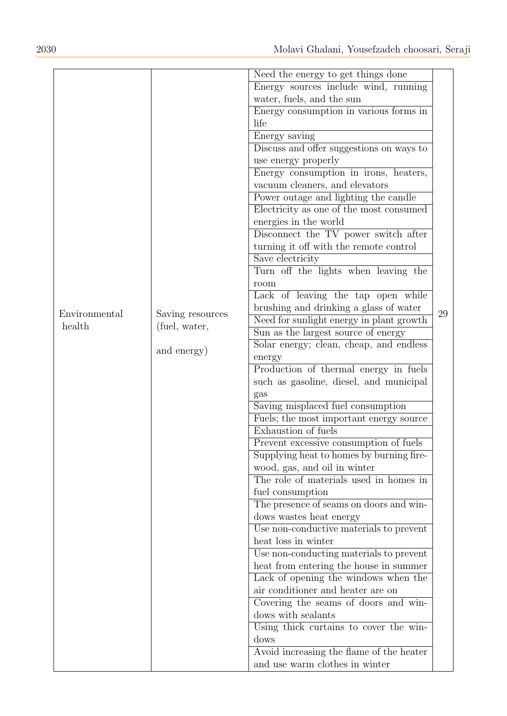|               |                  | Need the energy to get things done       |    |
|---------------|------------------|------------------------------------------|----|
|               |                  | Energy sources include wind, running     |    |
|               |                  | water, fuels, and the sun                |    |
|               |                  | Energy consumption in various forms in   |    |
|               |                  | life                                     |    |
|               |                  | Energy saving                            |    |
|               |                  | Discuss and offer suggestions on ways to |    |
|               |                  | use energy properly                      |    |
|               |                  | Energy consumption in irons, heaters,    |    |
|               |                  | vacuum cleaners, and elevators           |    |
|               |                  | Power outage and lighting the candle     |    |
|               |                  | Electricity as one of the most consumed  |    |
|               |                  | energies in the world                    |    |
|               |                  | Disconnect the TV power switch after     |    |
|               |                  | turning it off with the remote control   |    |
|               |                  |                                          |    |
|               |                  | Save electricity                         |    |
|               |                  | Turn off the lights when leaving the     |    |
|               |                  | room                                     |    |
|               |                  | Lack of leaving the tap open while       |    |
| Environmental | Saving resources | brushing and drinking a glass of water   | 29 |
| health        | (fuel, water,    | Need for sunlight energy in plant growth |    |
|               |                  | Sun as the largest source of energy      |    |
|               | and energy)      | Solar energy; clean, cheap, and endless  |    |
|               |                  | energy                                   |    |
|               |                  | Production of thermal energy in fuels    |    |
|               |                  | such as gasoline, diesel, and municipal  |    |
|               |                  | gas                                      |    |
|               |                  | Saving misplaced fuel consumption        |    |
|               |                  | Fuels; the most important energy source  |    |
|               |                  | Exhaustion of fuels                      |    |
|               |                  | Prevent excessive consumption of fuels   |    |
|               |                  | Supplying heat to homes by burning fire- |    |
|               |                  | wood, gas, and oil in winter             |    |
|               |                  | The role of materials used in homes in   |    |
|               |                  | fuel consumption                         |    |
|               |                  | The presence of seams on doors and win-  |    |
|               |                  | dows wastes heat energy                  |    |
|               |                  | Use non-conductive materials to prevent  |    |
|               |                  | heat loss in winter                      |    |
|               |                  | Use non-conducting materials to prevent  |    |
|               |                  | heat from entering the house in summer   |    |
|               |                  | Lack of opening the windows when the     |    |
|               |                  | air conditioner and heater are on        |    |
|               |                  | Covering the seams of doors and win-     |    |
|               |                  | dows with sealants                       |    |
|               |                  | Using thick curtains to cover the win-   |    |
|               |                  | dows                                     |    |
|               |                  | Avoid increasing the flame of the heater |    |
|               |                  | and use warm clothes in winter           |    |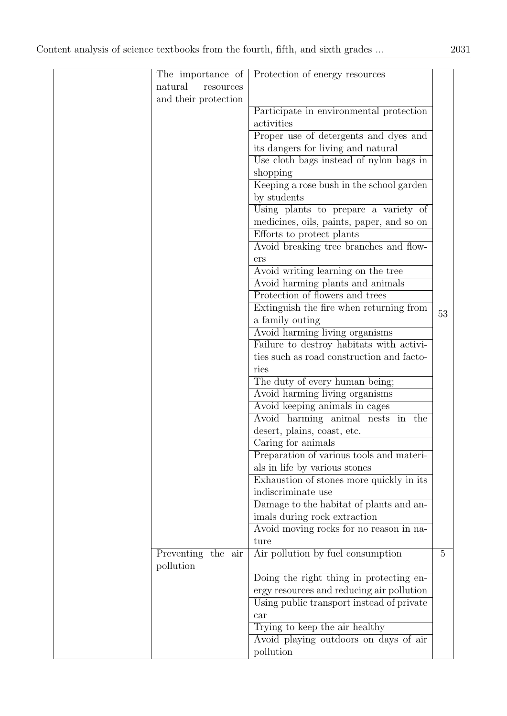| The importance of    | Protection of energy resources            |    |
|----------------------|-------------------------------------------|----|
| natural<br>resources |                                           |    |
| and their protection |                                           |    |
|                      | Participate in environmental protection   |    |
|                      | activities                                |    |
|                      | Proper use of detergents and dyes and     |    |
|                      | its dangers for living and natural        |    |
|                      | Use cloth bags instead of nylon bags in   |    |
|                      | shopping                                  |    |
|                      | Keeping a rose bush in the school garden  |    |
|                      | by students                               |    |
|                      | Using plants to prepare a variety of      |    |
|                      | medicines, oils, paints, paper, and so on |    |
|                      | Efforts to protect plants                 |    |
|                      | Avoid breaking tree branches and flow-    |    |
|                      | ers                                       |    |
|                      | Avoid writing learning on the tree        |    |
|                      | Avoid harming plants and animals          |    |
|                      | Protection of flowers and trees           |    |
|                      | Extinguish the fire when returning from   |    |
|                      | a family outing                           | 53 |
|                      | Avoid harming living organisms            |    |
|                      | Failure to destroy habitats with activi-  |    |
|                      | ties such as road construction and facto- |    |
|                      | ries                                      |    |
|                      | The duty of every human being;            |    |
|                      | Avoid harming living organisms            |    |
|                      | Avoid keeping animals in cages            |    |
|                      | Avoid harming animal nests in the         |    |
|                      | desert, plains, coast, etc.               |    |
|                      | Caring for animals                        |    |
|                      | Preparation of various tools and materi-  |    |
|                      | als in life by various stones             |    |
|                      | Exhaustion of stones more quickly in its  |    |
|                      | indiscriminate use                        |    |
|                      | Damage to the habitat of plants and an-   |    |
|                      | imals during rock extraction              |    |
|                      | Avoid moving rocks for no reason in na-   |    |
|                      | ture                                      |    |
| Preventing the air   | Air pollution by fuel consumption         | 5  |
| pollution            |                                           |    |
|                      | Doing the right thing in protecting en-   |    |
|                      | ergy resources and reducing air pollution |    |
|                      | Using public transport instead of private |    |
|                      | car                                       |    |
|                      | Trying to keep the air healthy            |    |
|                      | Avoid playing outdoors on days of air     |    |
|                      | pollution                                 |    |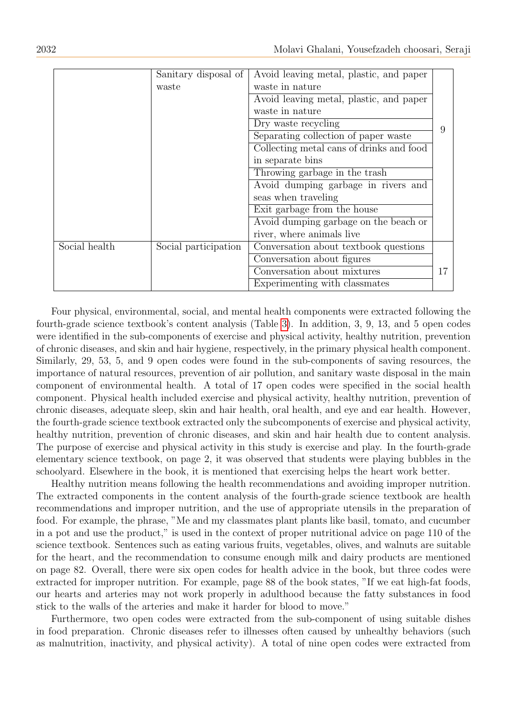|               | Sanitary disposal of | Avoid leaving metal, plastic, and paper  |    |
|---------------|----------------------|------------------------------------------|----|
|               | waste                | waste in nature                          |    |
|               |                      | Avoid leaving metal, plastic, and paper  |    |
|               |                      | waste in nature                          |    |
|               |                      | Dry waste recycling                      |    |
|               |                      | Separating collection of paper waste     |    |
|               |                      | Collecting metal cans of drinks and food |    |
|               |                      | in separate bins                         |    |
|               |                      | Throwing garbage in the trash            |    |
|               |                      | Avoid dumping garbage in rivers and      |    |
|               |                      | seas when traveling                      |    |
|               |                      | Exit garbage from the house              |    |
|               |                      | Avoid dumping garbage on the beach or    |    |
|               |                      | river, where animals live                |    |
| Social health | Social participation | Conversation about textbook questions    |    |
|               |                      | Conversation about figures               |    |
|               |                      | Conversation about mixtures              | 17 |
|               |                      | Experimenting with classmates            |    |

Four physical, environmental, social, and mental health components were extracted following the fourth-grade science textbook's content analysis (Table [3\)](#page-4-0). In addition, 3, 9, 13, and 5 open codes were identified in the sub-components of exercise and physical activity, healthy nutrition, prevention of chronic diseases, and skin and hair hygiene, respectively, in the primary physical health component. Similarly, 29, 53, 5, and 9 open codes were found in the sub-components of saving resources, the importance of natural resources, prevention of air pollution, and sanitary waste disposal in the main component of environmental health. A total of 17 open codes were specified in the social health component. Physical health included exercise and physical activity, healthy nutrition, prevention of chronic diseases, adequate sleep, skin and hair health, oral health, and eye and ear health. However, the fourth-grade science textbook extracted only the subcomponents of exercise and physical activity, healthy nutrition, prevention of chronic diseases, and skin and hair health due to content analysis. The purpose of exercise and physical activity in this study is exercise and play. In the fourth-grade elementary science textbook, on page 2, it was observed that students were playing bubbles in the schoolyard. Elsewhere in the book, it is mentioned that exercising helps the heart work better.

Healthy nutrition means following the health recommendations and avoiding improper nutrition. The extracted components in the content analysis of the fourth-grade science textbook are health recommendations and improper nutrition, and the use of appropriate utensils in the preparation of food. For example, the phrase, "Me and my classmates plant plants like basil, tomato, and cucumber in a pot and use the product," is used in the context of proper nutritional advice on page 110 of the science textbook. Sentences such as eating various fruits, vegetables, olives, and walnuts are suitable for the heart, and the recommendation to consume enough milk and dairy products are mentioned on page 82. Overall, there were six open codes for health advice in the book, but three codes were extracted for improper nutrition. For example, page 88 of the book states, "If we eat high-fat foods, our hearts and arteries may not work properly in adulthood because the fatty substances in food stick to the walls of the arteries and make it harder for blood to move."

Furthermore, two open codes were extracted from the sub-component of using suitable dishes in food preparation. Chronic diseases refer to illnesses often caused by unhealthy behaviors (such as malnutrition, inactivity, and physical activity). A total of nine open codes were extracted from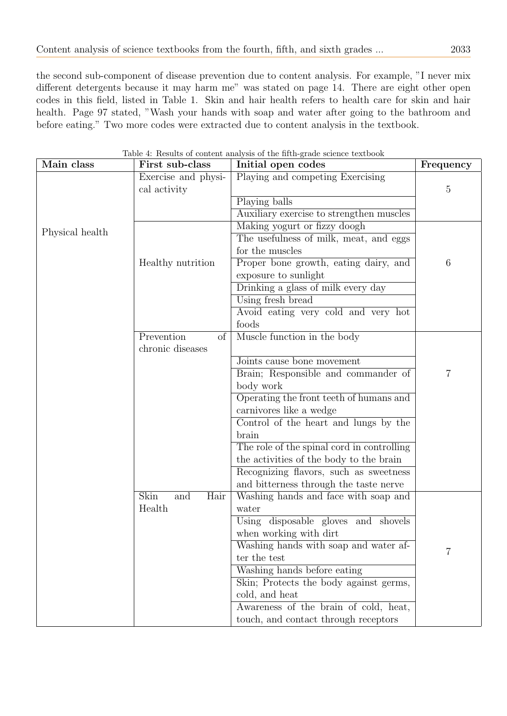the second sub-component of disease prevention due to content analysis. For example, "I never mix different detergents because it may harm me" was stated on page 14. There are eight other open codes in this field, listed in Table 1. Skin and hair health refers to health care for skin and hair health. Page 97 stated, "Wash your hands with soap and water after going to the bathroom and before eating." Two more codes were extracted due to content analysis in the textbook.

| Main class      | First sub-class                                  | Initial open codes                         | Frequency       |
|-----------------|--------------------------------------------------|--------------------------------------------|-----------------|
|                 | Exercise and physi-                              | Playing and competing Exercising           |                 |
|                 | cal activity                                     |                                            | 5               |
|                 |                                                  | Playing balls                              |                 |
|                 |                                                  | Auxiliary exercise to strengthen muscles   |                 |
| Physical health |                                                  | Making yogurt or fizzy doogh               |                 |
|                 |                                                  | The usefulness of milk, meat, and eggs     |                 |
|                 |                                                  | for the muscles                            |                 |
|                 | Healthy nutrition                                | Proper bone growth, eating dairy, and      | $6\phantom{.}6$ |
|                 |                                                  | exposure to sunlight                       |                 |
|                 |                                                  | Drinking a glass of milk every day         |                 |
|                 |                                                  | Using fresh bread                          |                 |
|                 |                                                  | Avoid eating very cold and very hot        |                 |
|                 |                                                  | foods                                      |                 |
|                 | Prevention<br>of                                 | Muscle function in the body                |                 |
|                 | chronic diseases                                 |                                            |                 |
|                 |                                                  | Joints cause bone movement                 |                 |
|                 |                                                  | Brain; Responsible and commander of        | $\overline{7}$  |
|                 |                                                  | body work                                  |                 |
|                 |                                                  | Operating the front teeth of humans and    |                 |
|                 |                                                  | carnivores like a wedge                    |                 |
|                 |                                                  | Control of the heart and lungs by the      |                 |
|                 |                                                  | brain                                      |                 |
|                 |                                                  | The role of the spinal cord in controlling |                 |
|                 |                                                  | the activities of the body to the brain    |                 |
|                 |                                                  | Recognizing flavors, such as sweetness     |                 |
|                 |                                                  | and bitterness through the taste nerve     |                 |
|                 | $\overline{\text{Skin}}$<br>$\text{and}$<br>Hair | Washing hands and face with soap and       |                 |
|                 | Health                                           | water                                      |                 |
|                 |                                                  | Using disposable gloves and shovels        |                 |
|                 |                                                  | when working with dirt                     |                 |
|                 |                                                  | Washing hands with soap and water af-      | 7               |
|                 |                                                  | ter the test                               |                 |
|                 |                                                  | Washing hands before eating                |                 |
|                 |                                                  | Skin; Protects the body against germs,     |                 |
|                 |                                                  | cold, and heat                             |                 |
|                 |                                                  | Awareness of the brain of cold, heat,      |                 |
|                 |                                                  | touch, and contact through receptors       |                 |

Table 4: Results of content analysis of the fifth-grade science textbook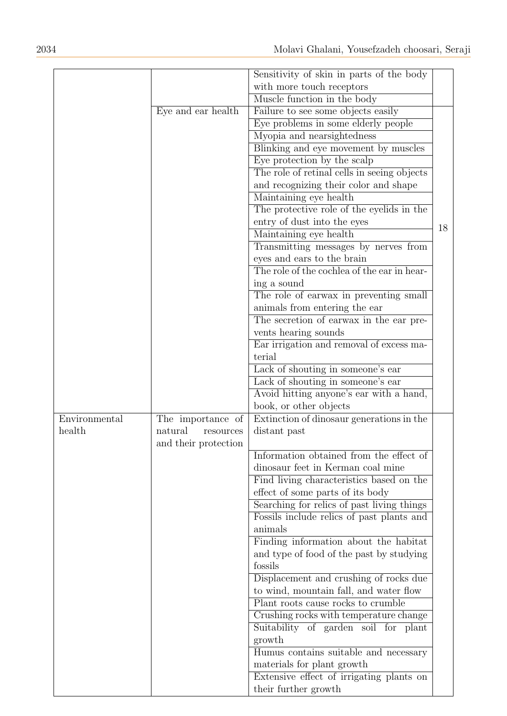|               |                      | Sensitivity of skin in parts of the body    |    |
|---------------|----------------------|---------------------------------------------|----|
|               |                      | with more touch receptors                   |    |
|               |                      | Muscle function in the body                 |    |
|               | Eye and ear health   |                                             |    |
|               |                      | Failure to see some objects easily          |    |
|               |                      | Eye problems in some elderly people         |    |
|               |                      | Myopia and nearsightedness                  |    |
|               |                      | Blinking and eye movement by muscles        |    |
|               |                      | Eye protection by the scalp                 |    |
|               |                      | The role of retinal cells in seeing objects |    |
|               |                      | and recognizing their color and shape       |    |
|               |                      | Maintaining eye health                      |    |
|               |                      | The protective role of the eyelids in the   |    |
|               |                      | entry of dust into the eyes                 | 18 |
|               |                      | Maintaining eye health                      |    |
|               |                      | Transmitting messages by nerves from        |    |
|               |                      | eyes and ears to the brain                  |    |
|               |                      | The role of the cochlea of the ear in hear- |    |
|               |                      | ing a sound                                 |    |
|               |                      | The role of earwax in preventing small      |    |
|               |                      | animals from entering the ear               |    |
|               |                      | The secretion of earwax in the ear pre-     |    |
|               |                      | vents hearing sounds                        |    |
|               |                      | Ear irrigation and removal of excess ma-    |    |
|               |                      | terial                                      |    |
|               |                      | Lack of shouting in someone's ear           |    |
|               |                      | Lack of shouting in someone's ear           |    |
|               |                      | Avoid hitting anyone's ear with a hand,     |    |
|               |                      | book, or other objects                      |    |
| Environmental | The importance of    | Extinction of dinosaur generations in the   |    |
| health        | natural<br>resources | distant past                                |    |
|               | and their protection |                                             |    |
|               |                      | Information obtained from the effect of     |    |
|               |                      | dinosaur feet in Kerman coal mine           |    |
|               |                      | Find living characteristics based on the    |    |
|               |                      | effect of some parts of its body            |    |
|               |                      | Searching for relics of past living things  |    |
|               |                      | Fossils include relics of past plants and   |    |
|               |                      | animals                                     |    |
|               |                      | Finding information about the habitat       |    |
|               |                      | and type of food of the past by studying    |    |
|               |                      | fossils                                     |    |
|               |                      | Displacement and crushing of rocks due      |    |
|               |                      | to wind, mountain fall, and water flow      |    |
|               |                      | Plant roots cause rocks to crumble          |    |
|               |                      | Crushing rocks with temperature change      |    |
|               |                      | Suitability of garden soil for plant        |    |
|               |                      | growth                                      |    |
|               |                      | Humus contains suitable and necessary       |    |
|               |                      | materials for plant growth                  |    |
|               |                      | Extensive effect of irrigating plants on    |    |
|               |                      |                                             |    |
|               |                      | their further growth                        |    |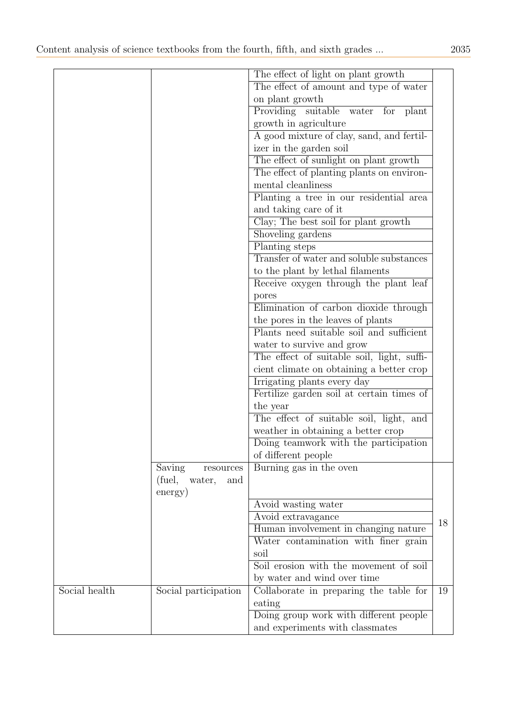|               |                          | The effect of light on plant growth        |    |
|---------------|--------------------------|--------------------------------------------|----|
|               |                          | The effect of amount and type of water     |    |
|               |                          | on plant growth                            |    |
|               |                          | Providing suitable water<br>for<br>plant   |    |
|               |                          | growth in agriculture                      |    |
|               |                          | A good mixture of clay, sand, and fertil-  |    |
|               |                          | izer in the garden soil                    |    |
|               |                          | The effect of sunlight on plant growth     |    |
|               |                          | The effect of planting plants on environ-  |    |
|               |                          | mental cleanliness                         |    |
|               |                          | Planting a tree in our residential area    |    |
|               |                          | and taking care of it                      |    |
|               |                          | Clay; The best soil for plant growth       |    |
|               |                          | Shoveling gardens                          |    |
|               |                          | Planting steps                             |    |
|               |                          | Transfer of water and soluble substances   |    |
|               |                          | to the plant by lethal filaments           |    |
|               |                          | Receive oxygen through the plant leaf      |    |
|               |                          | pores                                      |    |
|               |                          | Elimination of carbon dioxide through      |    |
|               |                          | the pores in the leaves of plants          |    |
|               |                          | Plants need suitable soil and sufficient   |    |
|               |                          | water to survive and grow                  |    |
|               |                          | The effect of suitable soil, light, suffi- |    |
|               |                          | cient climate on obtaining a better crop   |    |
|               |                          | Irrigating plants every day                |    |
|               |                          | Fertilize garden soil at certain times of  |    |
|               |                          | the year                                   |    |
|               |                          | The effect of suitable soil, light, and    |    |
|               |                          | weather in obtaining a better crop         |    |
|               |                          | Doing teamwork with the participation      |    |
|               |                          | of different people                        |    |
|               | Saving<br>$\,$ resources | Burning gas in the oven                    |    |
|               | (fuel,<br>water,<br>and  |                                            |    |
|               | energy)                  |                                            |    |
|               |                          | Avoid wasting water                        |    |
|               |                          | Avoid extravagance                         |    |
|               |                          | Human involvement in changing nature       | 18 |
|               |                          | Water contamination with finer grain       |    |
|               |                          | soil                                       |    |
|               |                          | Soil erosion with the movement of soil     |    |
|               |                          | by water and wind over time                |    |
| Social health | Social participation     | Collaborate in preparing the table for     | 19 |
|               |                          | eating                                     |    |
|               |                          | Doing group work with different people     |    |
|               |                          | and experiments with classmates            |    |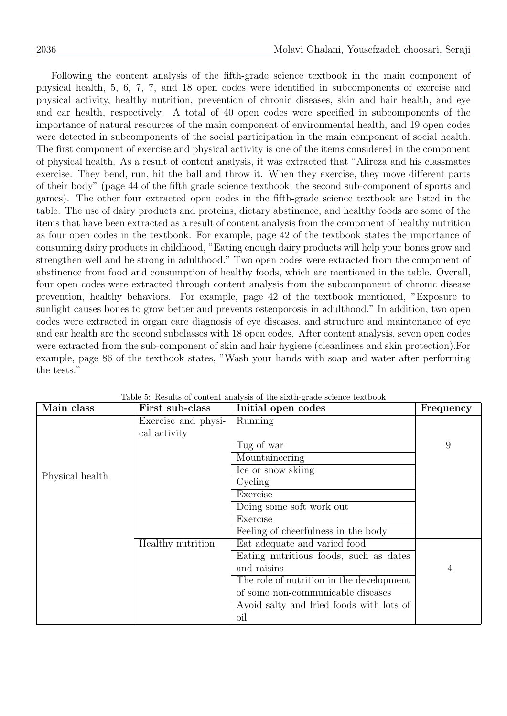Following the content analysis of the fifth-grade science textbook in the main component of physical health, 5, 6, 7, 7, and 18 open codes were identified in subcomponents of exercise and physical activity, healthy nutrition, prevention of chronic diseases, skin and hair health, and eye and ear health, respectively. A total of 40 open codes were specified in subcomponents of the importance of natural resources of the main component of environmental health, and 19 open codes were detected in subcomponents of the social participation in the main component of social health. The first component of exercise and physical activity is one of the items considered in the component of physical health. As a result of content analysis, it was extracted that "Alireza and his classmates exercise. They bend, run, hit the ball and throw it. When they exercise, they move different parts of their body" (page 44 of the fifth grade science textbook, the second sub-component of sports and games). The other four extracted open codes in the fifth-grade science textbook are listed in the table. The use of dairy products and proteins, dietary abstinence, and healthy foods are some of the items that have been extracted as a result of content analysis from the component of healthy nutrition as four open codes in the textbook. For example, page 42 of the textbook states the importance of consuming dairy products in childhood, "Eating enough dairy products will help your bones grow and strengthen well and be strong in adulthood." Two open codes were extracted from the component of abstinence from food and consumption of healthy foods, which are mentioned in the table. Overall, four open codes were extracted through content analysis from the subcomponent of chronic disease prevention, healthy behaviors. For example, page 42 of the textbook mentioned, "Exposure to sunlight causes bones to grow better and prevents osteoporosis in adulthood." In addition, two open codes were extracted in organ care diagnosis of eye diseases, and structure and maintenance of eye and ear health are the second subclasses with 18 open codes. After content analysis, seven open codes were extracted from the sub-component of skin and hair hygiene (cleanliness and skin protection).For example, page 86 of the textbook states, "Wash your hands with soap and water after performing the tests."

| Main class      | First sub-class     | Initial open codes                       | Frequency      |
|-----------------|---------------------|------------------------------------------|----------------|
|                 | Exercise and physi- | Running                                  |                |
|                 | cal activity        |                                          |                |
|                 |                     | Tug of war                               | 9              |
|                 |                     | Mountaineering                           |                |
| Physical health |                     | Ice or snow skiing                       |                |
|                 |                     | Cycling                                  |                |
|                 |                     | Exercise                                 |                |
|                 |                     | Doing some soft work out                 |                |
|                 |                     | Exercise                                 |                |
|                 |                     | Feeling of cheerfulness in the body      |                |
|                 | Healthy nutrition   | Eat adequate and varied food             |                |
|                 |                     | Eating nutritious foods, such as dates   |                |
|                 |                     | and raisins                              | $\overline{4}$ |
|                 |                     | The role of nutrition in the development |                |
|                 |                     | of some non-communicable diseases        |                |
|                 |                     | Avoid salty and fried foods with lots of |                |
|                 |                     | oil                                      |                |

Table 5: Results of content analysis of the sixth-grade science textbook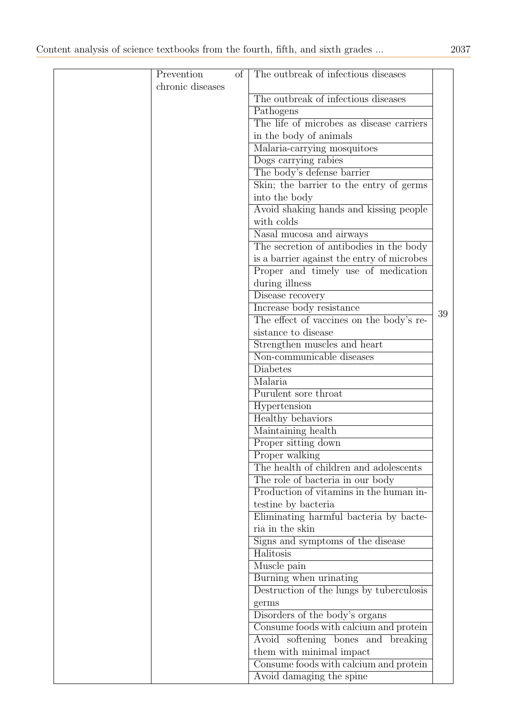| Prevention       | of | The outbreak of infectious diseases                       |    |
|------------------|----|-----------------------------------------------------------|----|
| chronic diseases |    |                                                           |    |
|                  |    | The outbreak of infectious diseases                       |    |
|                  |    | Pathogens                                                 |    |
|                  |    | The life of microbes as disease carriers                  |    |
|                  |    | in the body of animals                                    |    |
|                  |    | Malaria-carrying mosquitoes                               |    |
|                  |    | Dogs carrying rabies                                      |    |
|                  |    | The body's defense barrier                                |    |
|                  |    | Skin; the barrier to the entry of germs                   |    |
|                  |    | into the body                                             |    |
|                  |    | Avoid shaking hands and kissing people                    |    |
|                  |    | with colds                                                |    |
|                  |    | Nasal mucosa and airways                                  |    |
|                  |    | The secretion of antibodies in the body                   |    |
|                  |    | is a barrier against the entry of microbes                |    |
|                  |    | Proper and timely use of medication                       |    |
|                  |    | during illness                                            |    |
|                  |    | Disease recovery                                          |    |
|                  |    | Increase body resistance                                  |    |
|                  |    | The effect of vaccines on the body's re-                  | 39 |
|                  |    | sistance to disease                                       |    |
|                  |    |                                                           |    |
|                  |    | Strengthen muscles and heart<br>Non-communicable diseases |    |
|                  |    | <b>Diabetes</b>                                           |    |
|                  |    |                                                           |    |
|                  |    | Malaria                                                   |    |
|                  |    | Purulent sore throat                                      |    |
|                  |    | Hypertension                                              |    |
|                  |    | Healthy behaviors                                         |    |
|                  |    | Maintaining health                                        |    |
|                  |    | Proper sitting down                                       |    |
|                  |    | Proper walking                                            |    |
|                  |    | The health of children and adolescents                    |    |
|                  |    | The role of bacteria in our body                          |    |
|                  |    | Production of vitamins in the human in-                   |    |
|                  |    | testine by bacteria                                       |    |
|                  |    | Eliminating harmful bacteria by bacte-                    |    |
|                  |    | ria in the skin                                           |    |
|                  |    | Signs and symptoms of the disease                         |    |
|                  |    | Halitosis                                                 |    |
|                  |    | Muscle pain                                               |    |
|                  |    | Burning when urinating                                    |    |
|                  |    | Destruction of the lungs by tuberculosis                  |    |
|                  |    | germs                                                     |    |
|                  |    | Disorders of the body's organs                            |    |
|                  |    | Consume foods with calcium and protein                    |    |
|                  |    | Avoid softening bones and breaking                        |    |
|                  |    | them with minimal impact                                  |    |
|                  |    | Consume foods with calcium and protein                    |    |
|                  |    | Avoid damaging the spine                                  |    |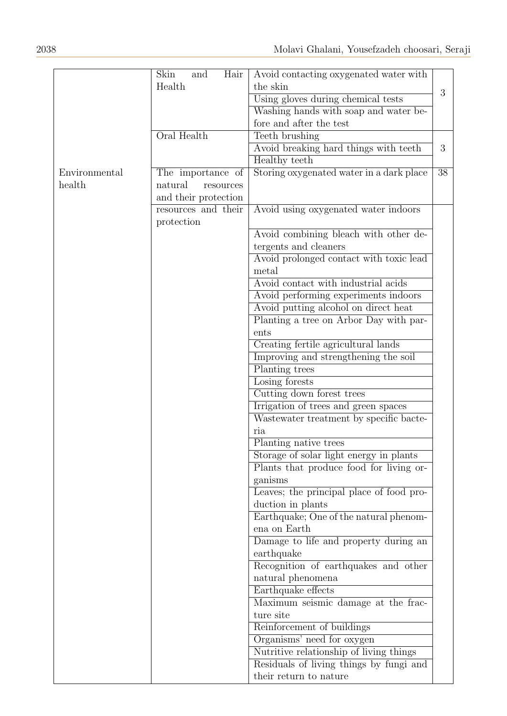|               | Skin<br>Hair<br>and  | Avoid contacting oxygenated water with   |    |
|---------------|----------------------|------------------------------------------|----|
|               | Health               | the skin                                 |    |
|               |                      | Using gloves during chemical tests       | 3  |
|               |                      | Washing hands with soap and water be-    |    |
|               |                      | fore and after the test                  |    |
|               | Oral Health          | Teeth brushing                           |    |
|               |                      |                                          | 3  |
|               |                      | Avoid breaking hard things with teeth    |    |
|               |                      | Healthy teeth                            |    |
| Environmental | The importance of    | Storing oxygenated water in a dark place | 38 |
| health        | natural<br>resources |                                          |    |
|               | and their protection |                                          |    |
|               | resources and their  | Avoid using oxygenated water indoors     |    |
|               | protection           |                                          |    |
|               |                      | Avoid combining bleach with other de-    |    |
|               |                      | tergents and cleaners                    |    |
|               |                      | Avoid prolonged contact with toxic lead  |    |
|               |                      | metal                                    |    |
|               |                      | Avoid contact with industrial acids      |    |
|               |                      | Avoid performing experiments indoors     |    |
|               |                      | Avoid putting alcohol on direct heat     |    |
|               |                      | Planting a tree on Arbor Day with par-   |    |
|               |                      | ents                                     |    |
|               |                      | Creating fertile agricultural lands      |    |
|               |                      | Improving and strengthening the soil     |    |
|               |                      | Planting trees                           |    |
|               |                      | Losing forests                           |    |
|               |                      | Cutting down forest trees                |    |
|               |                      | Irrigation of trees and green spaces     |    |
|               |                      | Wastewater treatment by specific bacte-  |    |
|               |                      | ria                                      |    |
|               |                      | Planting native trees                    |    |
|               |                      | Storage of solar light energy in plants  |    |
|               |                      | Plants that produce food for living or-  |    |
|               |                      | ganisms                                  |    |
|               |                      | Leaves; the principal place of food pro- |    |
|               |                      | duction in plants                        |    |
|               |                      | Earthquake; One of the natural phenom-   |    |
|               |                      | ena on Earth                             |    |
|               |                      | Damage to life and property during an    |    |
|               |                      | earthquake                               |    |
|               |                      | Recognition of earthquakes and other     |    |
|               |                      | natural phenomena                        |    |
|               |                      | Earthquake effects                       |    |
|               |                      | Maximum seismic damage at the frac-      |    |
|               |                      | ture site                                |    |
|               |                      | Reinforcement of buildings               |    |
|               |                      | Organisms' need for oxygen               |    |
|               |                      | Nutritive relationship of living things  |    |
|               |                      | Residuals of living things by fungi and  |    |
|               |                      | their return to nature                   |    |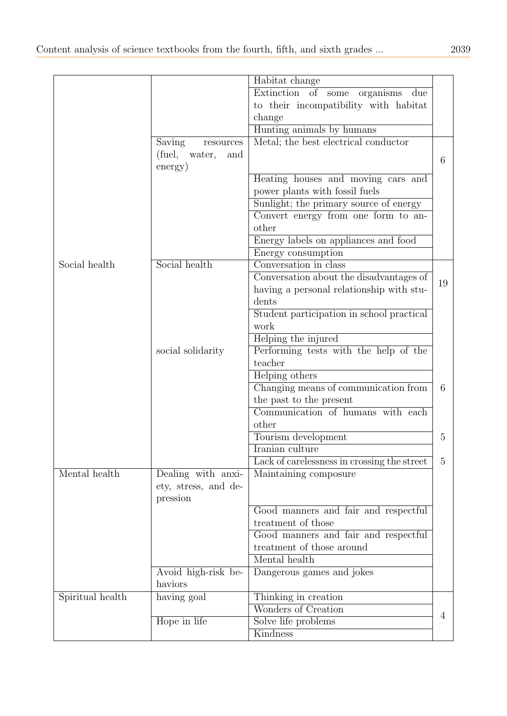|                  |                         | Habitat change                              |                |
|------------------|-------------------------|---------------------------------------------|----------------|
|                  |                         | Extinction of some<br>organisms<br>due      |                |
|                  |                         | to their incompatibility with habitat       |                |
|                  |                         | change                                      |                |
|                  |                         | Hunting animals by humans                   |                |
|                  | Saving<br>resources     | Metal; the best electrical conductor        |                |
|                  | (fuel,<br>water,<br>and |                                             |                |
|                  | energy)                 |                                             | 6              |
|                  |                         | Heating houses and moving cars and          |                |
|                  |                         | power plants with fossil fuels              |                |
|                  |                         | Sunlight; the primary source of energy      |                |
|                  |                         | Convert energy from one form to an-         |                |
|                  |                         | other                                       |                |
|                  |                         | Energy labels on appliances and food        |                |
|                  |                         | Energy consumption                          |                |
| Social health    | Social health           | Conversation in class                       |                |
|                  |                         | Conversation about the disadvantages of     | 19             |
|                  |                         | having a personal relationship with stu-    |                |
|                  |                         | dents                                       |                |
|                  |                         | Student participation in school practical   |                |
|                  |                         | work                                        |                |
|                  |                         | Helping the injured                         |                |
|                  | social solidarity       | Performing tests with the help of the       |                |
|                  |                         | teacher                                     |                |
|                  |                         | Helping others                              |                |
|                  |                         | Changing means of communication from        | 6              |
|                  |                         | the past to the present                     |                |
|                  |                         | Communication of humans with each           |                |
|                  |                         | other                                       |                |
|                  |                         | Tourism development                         | 5              |
|                  |                         | <b>Iranian</b> culture                      |                |
|                  |                         | Lack of carelessness in crossing the street | 5              |
| Mental health    | Dealing with anxi-      | Maintaining composure                       |                |
|                  | ety, stress, and de-    |                                             |                |
|                  | pression                |                                             |                |
|                  |                         | Good manners and fair and respectful        |                |
|                  |                         | treatment of those                          |                |
|                  |                         | Good manners and fair and respectful        |                |
|                  |                         | treatment of those around                   |                |
|                  |                         | Mental health                               |                |
|                  | Avoid high-risk be-     | Dangerous games and jokes                   |                |
|                  | haviors                 |                                             |                |
| Spiritual health | having goal             | Thinking in creation                        |                |
|                  |                         | Wonders of Creation                         | $\overline{4}$ |
|                  | Hope in life            | Solve life problems                         |                |
|                  |                         | Kindness                                    |                |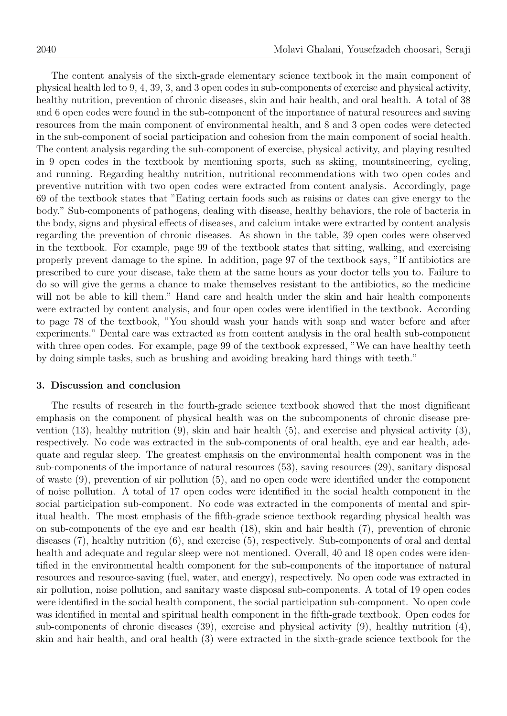The content analysis of the sixth-grade elementary science textbook in the main component of physical health led to 9, 4, 39, 3, and 3 open codes in sub-components of exercise and physical activity, healthy nutrition, prevention of chronic diseases, skin and hair health, and oral health. A total of 38 and 6 open codes were found in the sub-component of the importance of natural resources and saving resources from the main component of environmental health, and 8 and 3 open codes were detected in the sub-component of social participation and cohesion from the main component of social health. The content analysis regarding the sub-component of exercise, physical activity, and playing resulted in 9 open codes in the textbook by mentioning sports, such as skiing, mountaineering, cycling, and running. Regarding healthy nutrition, nutritional recommendations with two open codes and preventive nutrition with two open codes were extracted from content analysis. Accordingly, page 69 of the textbook states that "Eating certain foods such as raisins or dates can give energy to the body." Sub-components of pathogens, dealing with disease, healthy behaviors, the role of bacteria in the body, signs and physical effects of diseases, and calcium intake were extracted by content analysis regarding the prevention of chronic diseases. As shown in the table, 39 open codes were observed in the textbook. For example, page 99 of the textbook states that sitting, walking, and exercising properly prevent damage to the spine. In addition, page 97 of the textbook says, "If antibiotics are prescribed to cure your disease, take them at the same hours as your doctor tells you to. Failure to do so will give the germs a chance to make themselves resistant to the antibiotics, so the medicine will not be able to kill them." Hand care and health under the skin and hair health components were extracted by content analysis, and four open codes were identified in the textbook. According to page 78 of the textbook, "You should wash your hands with soap and water before and after experiments." Dental care was extracted as from content analysis in the oral health sub-component with three open codes. For example, page 99 of the textbook expressed, "We can have healthy teeth by doing simple tasks, such as brushing and avoiding breaking hard things with teeth."

#### 3. Discussion and conclusion

The results of research in the fourth-grade science textbook showed that the most dignificant emphasis on the component of physical health was on the subcomponents of chronic disease prevention (13), healthy nutrition (9), skin and hair health (5), and exercise and physical activity (3), respectively. No code was extracted in the sub-components of oral health, eye and ear health, adequate and regular sleep. The greatest emphasis on the environmental health component was in the sub-components of the importance of natural resources (53), saving resources (29), sanitary disposal of waste (9), prevention of air pollution (5), and no open code were identified under the component of noise pollution. A total of 17 open codes were identified in the social health component in the social participation sub-component. No code was extracted in the components of mental and spiritual health. The most emphasis of the fifth-grade science textbook regarding physical health was on sub-components of the eye and ear health (18), skin and hair health (7), prevention of chronic diseases (7), healthy nutrition (6), and exercise (5), respectively. Sub-components of oral and dental health and adequate and regular sleep were not mentioned. Overall, 40 and 18 open codes were identified in the environmental health component for the sub-components of the importance of natural resources and resource-saving (fuel, water, and energy), respectively. No open code was extracted in air pollution, noise pollution, and sanitary waste disposal sub-components. A total of 19 open codes were identified in the social health component, the social participation sub-component. No open code was identified in mental and spiritual health component in the fifth-grade textbook. Open codes for sub-components of chronic diseases (39), exercise and physical activity (9), healthy nutrition (4), skin and hair health, and oral health (3) were extracted in the sixth-grade science textbook for the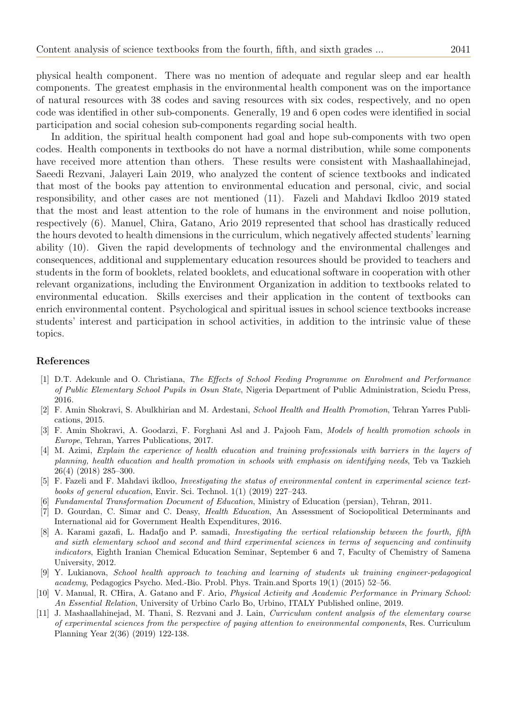physical health component. There was no mention of adequate and regular sleep and ear health components. The greatest emphasis in the environmental health component was on the importance of natural resources with 38 codes and saving resources with six codes, respectively, and no open code was identified in other sub-components. Generally, 19 and 6 open codes were identified in social participation and social cohesion sub-components regarding social health.

In addition, the spiritual health component had goal and hope sub-components with two open codes. Health components in textbooks do not have a normal distribution, while some components have received more attention than others. These results were consistent with Mashaallahinejad, Saeedi Rezvani, Jalayeri Lain 2019, who analyzed the content of science textbooks and indicated that most of the books pay attention to environmental education and personal, civic, and social responsibility, and other cases are not mentioned (11). Fazeli and Mahdavi Ikdloo 2019 stated that the most and least attention to the role of humans in the environment and noise pollution, respectively (6). Manuel, Chira, Gatano, Ario 2019 represented that school has drastically reduced the hours devoted to health dimensions in the curriculum, which negatively affected students' learning ability (10). Given the rapid developments of technology and the environmental challenges and consequences, additional and supplementary education resources should be provided to teachers and students in the form of booklets, related booklets, and educational software in cooperation with other relevant organizations, including the Environment Organization in addition to textbooks related to environmental education. Skills exercises and their application in the content of textbooks can enrich environmental content. Psychological and spiritual issues in school science textbooks increase students' interest and participation in school activities, in addition to the intrinsic value of these topics.

### References

- <span id="page-16-6"></span>[1] D.T. Adekunle and O. Christiana, The Effects of School Feeding Programme on Enrolment and Performance of Public Elementary School Pupils in Osun State, Nigeria Department of Public Administration, Sciedu Press, 2016.
- <span id="page-16-3"></span>[2] F. Amin Shokravi, S. Abulkhirian and M. Ardestani, School Health and Health Promotion, Tehran Yarres Publications, 2015.
- <span id="page-16-5"></span>[3] F. Amin Shokravi, A. Goodarzi, F. Forghani Asl and J. Pajooh Fam, Models of health promotion schools in Europe, Tehran, Yarres Publications, 2017.
- <span id="page-16-4"></span>[4] M. Azimi, Explain the experience of health education and training professionals with barriers in the layers of planning, health education and health promotion in schools with emphasis on identifying needs, Teb va Tazkieh 26(4) (2018) 285–300.
- <span id="page-16-9"></span>[5] F. Fazeli and F. Mahdavi ikdloo, Investigating the status of environmental content in experimental science textbooks of general education, Envir. Sci. Technol. 1(1) (2019) 227–243.
- <span id="page-16-0"></span>[6] Fundamental Transformation Document of Education, Ministry of Education (persian), Tehran, 2011.
- <span id="page-16-2"></span>[7] D. Gourdan, C. Simar and C. Deasy, Health Education, An Assessment of Sociopolitical Determinants and International aid for Government Health Expenditures, 2016.
- <span id="page-16-7"></span>[8] A. Karami gazafi, L. Hadafjo and P. samadi, Investigating the vertical relationship between the fourth, fifth and sixth elementary school and second and third experimental sciences in terms of sequencing and continuity indicators, Eighth Iranian Chemical Education Seminar, September 6 and 7, Faculty of Chemistry of Samena University, 2012.
- <span id="page-16-1"></span>[9] Y. Lukianova, School health approach to teaching and learning of students uk training engineer-pedagogical academy, Pedagogics Psycho. Med.-Bio. Probl. Phys. Train.and Sports 19(1) (2015) 52–56.
- <span id="page-16-10"></span>[10] V. Manual, R. CHira, A. Gatano and F. Ario, Physical Activity and Academic Performance in Primary School: An Essential Relation, University of Urbino Carlo Bo, Urbino, ITALY Published online, 2019.
- <span id="page-16-8"></span>[11] J. Mashaallahinejad, M. Thani, S. Rezvani and J. Lain, Curriculum content analysis of the elementary course of experimental sciences from the perspective of paying attention to environmental components, Res. Curriculum Planning Year 2(36) (2019) 122-138.